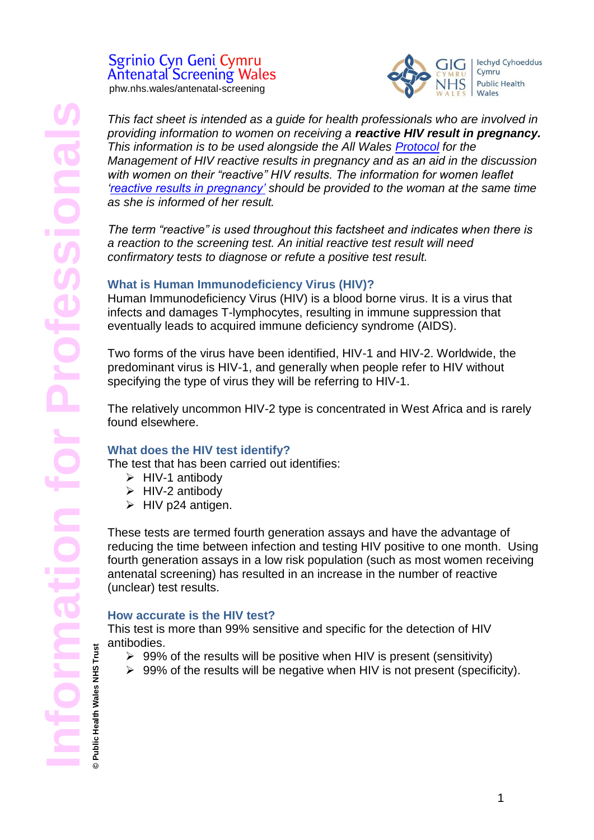# Sgrinio Cyn Geni Cymru **Antenatal Screening Wales**

phw.nhs.wales/antenatal-screening



*This fact sheet is intended as a guide for health professionals who are involved in providing information to women on receiving a reactive HIV result in pregnancy. This information is to be used alongside the All Wales [Protocol](https://phw.nhs.wales/services-and-teams/screening/antenatal-screening-wales/information-for-professionals/) for the Management of HIV reactive results in pregnancy and as an aid in the discussion with women on their "reactive" HIV results. The information for women leaflet ['reactive results in pregnancy'](https://phw.nhs.wales/services-and-teams/screening/antenatal-screening-wales/what-do-results-mean/) should be provided to the woman at the same time as she is informed of her result.* 

*The term "reactive" is used throughout this factsheet and indicates when there is a reaction to the screening test. An initial reactive test result will need confirmatory tests to diagnose or refute a positive test result.*

# **What is Human Immunodeficiency Virus (HIV)?**

Human Immunodeficiency Virus (HIV) is a blood borne virus. It is a virus that infects and damages T-lymphocytes, resulting in immune suppression that eventually leads to acquired immune deficiency syndrome (AIDS).

Two forms of the virus have been identified, HIV-1 and HIV-2. Worldwide, the predominant virus is HIV-1, and generally when people refer to HIV without specifying the type of virus they will be referring to HIV-1.

The relatively uncommon HIV-2 type is concentrated in West Africa and is rarely found elsewhere.

# **What does the HIV test identify?**

The test that has been carried out identifies:

- $\triangleright$  HIV-1 antibody
- $\triangleright$  HIV-2 antibody
- $\triangleright$  HIV p24 antigen.

These tests are termed fourth generation assays and have the advantage of reducing the time between infection and testing HIV positive to one month. Using fourth generation assays in a low risk population (such as most women receiving antenatal screening) has resulted in an increase in the number of reactive (unclear) test results.

### **How accurate is the HIV test?**

This test is more than 99% sensitive and specific for the detection of HIV antibodies.

- $\geq 99\%$  of the results will be positive when HIV is present (sensitivity)
- $\triangleright$  99% of the results will be negative when HIV is not present (specificity).

Public Health Wales NHS Trust **© Public Health Wales NHS Trust**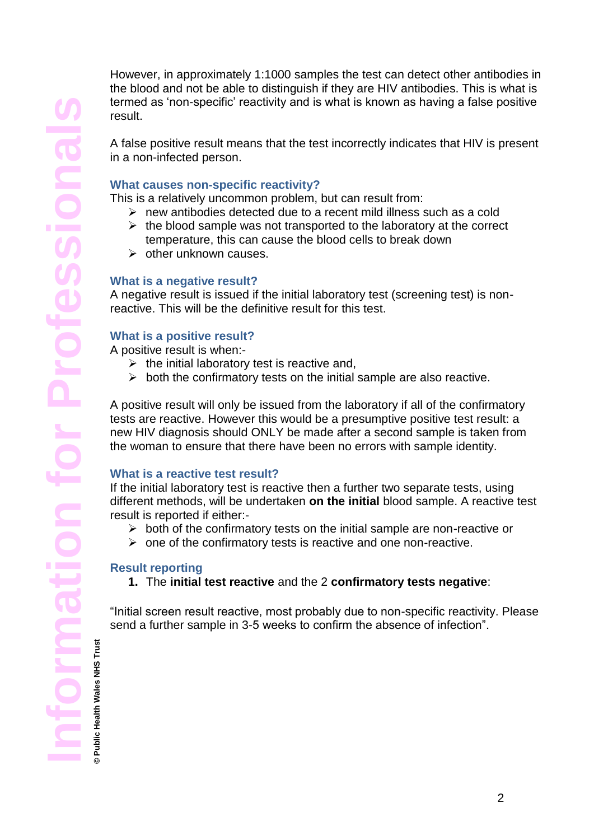However, in approximately 1:1000 samples the test can detect other antibodies in the blood and not be able to distinguish if they are HIV antibodies. This is what is termed as 'non-specific' reactivity and is what is known as having a false positive result.

A false positive result means that the test incorrectly indicates that HIV is present in a non-infected person.

## **What causes non-specific reactivity?**

This is a relatively uncommon problem, but can result from:

- $\triangleright$  new antibodies detected due to a recent mild illness such as a cold
- $\triangleright$  the blood sample was not transported to the laboratory at the correct temperature, this can cause the blood cells to break down
- $\triangleright$  other unknown causes.

### **What is a negative result?**

A negative result is issued if the initial laboratory test (screening test) is nonreactive. This will be the definitive result for this test.

### **What is a positive result?**

A positive result is when:-

- $\triangleright$  the initial laboratory test is reactive and,
- $\triangleright$  both the confirmatory tests on the initial sample are also reactive.

A positive result will only be issued from the laboratory if all of the confirmatory tests are reactive. However this would be a presumptive positive test result: a new HIV diagnosis should ONLY be made after a second sample is taken from the woman to ensure that there have been no errors with sample identity.

### **What is a reactive test result?**

If the initial laboratory test is reactive then a further two separate tests, using different methods, will be undertaken **on the initial** blood sample. A reactive test result is reported if either:-

- $\triangleright$  both of the confirmatory tests on the initial sample are non-reactive or
- $\triangleright$  one of the confirmatory tests is reactive and one non-reactive.

### **Result reporting**

**© Public Health Wales NHS Trust**

**1.** The **initial test reactive** and the 2 **confirmatory tests negative**:

"Initial screen result reactive, most probably due to non-specific reactivity. Please send a further sample in 3-5 weeks to confirm the absence of infection".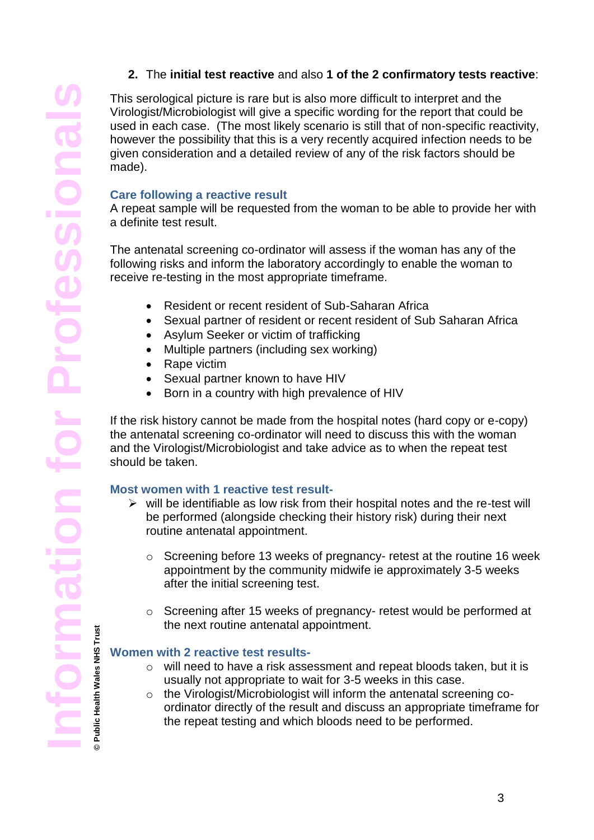# **2.** The **initial test reactive** and also **1 of the 2 confirmatory tests reactive**:

This serological picture is rare but is also more difficult to interpret and the Virologist/Microbiologist will give a specific wording for the report that could be used in each case. (The most likely scenario is still that of non-specific reactivity, however the possibility that this is a very recently acquired infection needs to be given consideration and a detailed review of any of the risk factors should be made).

# **Care following a reactive result**

A repeat sample will be requested from the woman to be able to provide her with a definite test result.

The antenatal screening co-ordinator will assess if the woman has any of the following risks and inform the laboratory accordingly to enable the woman to receive re-testing in the most appropriate timeframe.

- Resident or recent resident of Sub-Saharan Africa
- Sexual partner of resident or recent resident of Sub Saharan Africa
- Asylum Seeker or victim of trafficking
- Multiple partners (including sex working)
- Rape victim
- Sexual partner known to have HIV
- Born in a country with high prevalence of HIV

If the risk history cannot be made from the hospital notes (hard copy or e-copy) the antenatal screening co-ordinator will need to discuss this with the woman and the Virologist/Microbiologist and take advice as to when the repeat test should be taken.

### **Most women with 1 reactive test result-**

- $\triangleright$  will be identifiable as low risk from their hospital notes and the re-test will be performed (alongside checking their history risk) during their next routine antenatal appointment.
	- $\circ$  Screening before 13 weeks of pregnancy- retest at the routine 16 week appointment by the community midwife ie approximately 3-5 weeks after the initial screening test.
	- o Screening after 15 weeks of pregnancy- retest would be performed at the next routine antenatal appointment.

### **Women with 2 reactive test results-**

- o will need to have a risk assessment and repeat bloods taken, but it is usually not appropriate to wait for 3-5 weeks in this case.
- o the Virologist/Microbiologist will inform the antenatal screening coordinator directly of the result and discuss an appropriate timeframe for the repeat testing and which bloods need to be performed.

**© Public Health Wales NHS Trust**